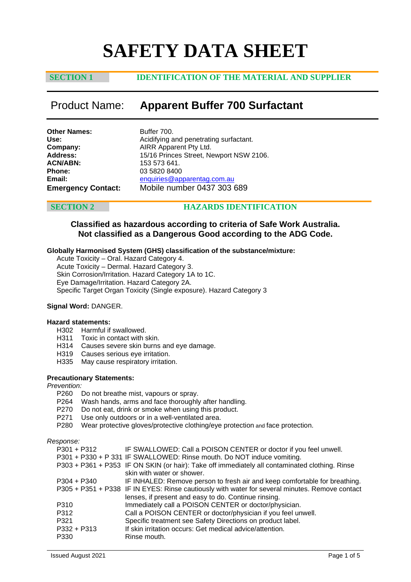# **SAFETY DATA SHEET**

# **SECTION 1 IDENTIFICATION OF THE MATERIAL AND SUPPLIER**

# Product Name: **Apparent Buffer 700 Surfactant**

| <b>Other Names:</b>       | Buffer 700.      |
|---------------------------|------------------|
| Use:                      | Acidifying a     |
| Company:                  | <b>AIRR Appa</b> |
| <b>Address:</b>           | 15/16 Prino      |
| <b>ACN/ABN:</b>           | 153 573 64       |
| <b>Phone:</b>             | 03 5820 84       |
| Email:                    | enquiries@       |
| <b>Emergency Contact:</b> | Mobile nu        |

**Use:** Acidifying and penetrating surfactant. **Apparent Pty Ltd.** Princes Street, Newport NSW 2106. 3 641. 08400 **es@apparentag.com.au Emergency Contact:** Mobile number 0437 303 689

# **SECTION 2 HAZARDS IDENTIFICATION**

# **Classified as hazardous according to criteria of Safe Work Australia. Not classified as a Dangerous Good according to the ADG Code.**

### **Globally Harmonised System (GHS) classification of the substance/mixture:**

Acute Toxicity – Oral. Hazard Category 4. Acute Toxicity – Dermal. Hazard Category 3. Skin Corrosion/Irritation. Hazard Category 1A to 1C. Eye Damage/Irritation. Hazard Category 2A. Specific Target Organ Toxicity (Single exposure). Hazard Category 3

### **Signal Word:** DANGER.

#### **Hazard statements:**

- H302 Harmful if swallowed.<br>H311 Toxic in contact with
- Toxic in contact with skin.
- H314 Causes severe skin burns and eye damage.
- H319 Causes serious eye irritation.
- H335 May cause respiratory irritation.

#### **Precautionary Statements:**

# *Prevention:*

- Do not breathe mist, vapours or spray.
- P264 Wash hands, arms and face thoroughly after handling.
- P270 Do not eat, drink or smoke when using this product.
- P271 Use only outdoors or in a well-ventilated area.
- P280 Wear protective gloves/protective clothing/eye protection and face protection.

*Response:*

| P301 + P312 | IF SWALLOWED: Call a POISON CENTER or doctor if you feel unwell.                               |
|-------------|------------------------------------------------------------------------------------------------|
|             | P301 + P330 + P 331 IF SWALLOWED: Rinse mouth. Do NOT induce vomiting.                         |
|             | P303 + P361 + P353 IF ON SKIN (or hair): Take off immediately all contaminated clothing. Rinse |
|             | skin with water or shower.                                                                     |
| P304 + P340 | IF INHALED: Remove person to fresh air and keep comfortable for breathing.                     |
|             | P305 + P351 + P338 IF IN EYES: Rinse cautiously with water for several minutes. Remove contact |
|             | lenses, if present and easy to do. Continue rinsing.                                           |
| P310        | Immediately call a POISON CENTER or doctor/physician.                                          |
| P312        | Call a POISON CENTER or doctor/physician if you feel unwell.                                   |
| P321        | Specific treatment see Safety Directions on product label.                                     |
| P332 + P313 | If skin irritation occurs: Get medical advice/attention.                                       |
| P330        | Rinse mouth.                                                                                   |
|             |                                                                                                |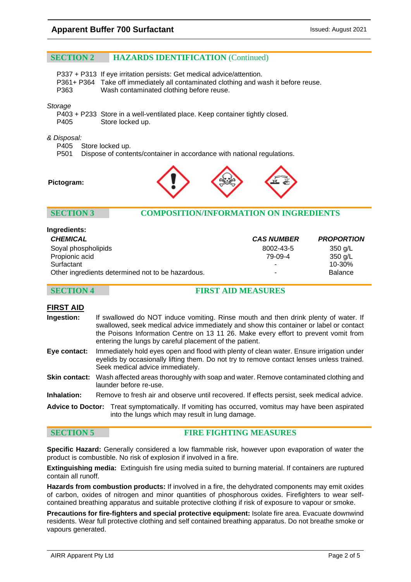# **SECTION 2 HAZARDS IDENTIFICATION** (Continued)

P337 + P313 If eye irritation persists: Get medical advice/attention.

- P361+ P364 Take off immediately all contaminated clothing and wash it before reuse.
- Wash contaminated clothing before reuse.

#### *Storage*

- P403 + P233 Store in a well-ventilated place. Keep container tightly closed.
- P405 Store locked up.

### *& Disposal:*

P405 Store locked up.<br>P501 Dispose of conte

Dispose of contents/container in accordance with national regulations.





# **SECTION 3 COMPOSITION/INFORMATION ON INGREDIENTS**

| <b>CHEMICAL</b>                                   | <b>CAS NUMBER</b> | <b>PROPORTION</b> |
|---------------------------------------------------|-------------------|-------------------|
| Soyal phospholipids                               | 8002-43-5         | 350 g/L           |
| Propionic acid                                    | 79-09-4           | 350 g/L           |
| Surfactant                                        |                   | $10 - 30%$        |
| Other ingredients determined not to be hazardous. | ۰                 | <b>Balance</b>    |

# **SECTION 4 FIRST AID MEASURES**

### **FIRST AID**

- **Ingestion:** If swallowed do NOT induce vomiting. Rinse mouth and then drink plenty of water. If swallowed, seek medical advice immediately and show this container or label or contact the Poisons Information Centre on 13 11 26. Make every effort to prevent vomit from entering the lungs by careful placement of the patient.
- **Eye contact:** Immediately hold eyes open and flood with plenty of clean water. Ensure irrigation under eyelids by occasionally lifting them. Do not try to remove contact lenses unless trained. Seek medical advice immediately.
- **Skin contact:** Wash affected areas thoroughly with soap and water. Remove contaminated clothing and launder before re-use.
- **Inhalation:** Remove to fresh air and observe until recovered. If effects persist, seek medical advice.
- **Advice to Doctor:** Treat symptomatically. If vomiting has occurred, vomitus may have been aspirated into the lungs which may result in lung damage.

**SECTION 5 FIRE FIGHTING MEASURES**

**Specific Hazard:** Generally considered a low flammable risk, however upon evaporation of water the product is combustible. No risk of explosion if involved in a fire.

**Extinguishing media:** Extinguish fire using media suited to burning material. If containers are ruptured contain all runoff.

**Hazards from combustion products:** If involved in a fire, the dehydrated components may emit oxides of carbon, oxides of nitrogen and minor quantities of phosphorous oxides. Firefighters to wear selfcontained breathing apparatus and suitable protective clothing if risk of exposure to vapour or smoke.

**Precautions for fire-fighters and special protective equipment:** Isolate fire area. Evacuate downwind residents. Wear full protective clothing and self contained breathing apparatus. Do not breathe smoke or vapours generated.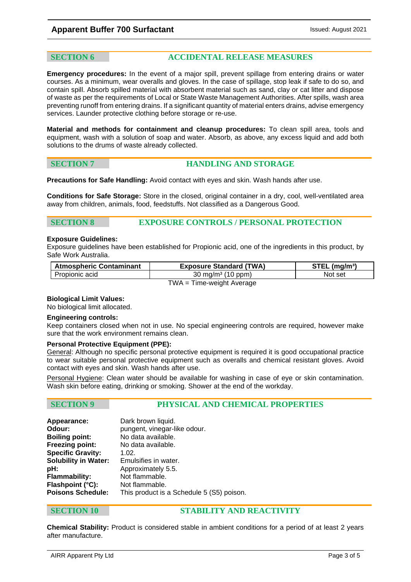# **Apparent Buffer 700 Surfactant Issued: August 2021 Issued: August 2021**

### **SECTION 6 ACCIDENTAL RELEASE MEASURES**

**Emergency procedures:** In the event of a major spill, prevent spillage from entering drains or water courses. As a minimum, wear overalls and gloves. In the case of spillage, stop leak if safe to do so, and contain spill. Absorb spilled material with absorbent material such as sand, clay or cat litter and dispose of waste as per the requirements of Local or State Waste Management Authorities. After spills, wash area preventing runoff from entering drains. If a significant quantity of material enters drains, advise emergency services. Launder protective clothing before storage or re-use.

**Material and methods for containment and cleanup procedures:** To clean spill area, tools and equipment, wash with a solution of soap and water. Absorb, as above, any excess liquid and add both solutions to the drums of waste already collected.

| <b>SECTION</b> |  |  |  |
|----------------|--|--|--|
|                |  |  |  |

### **HANDLING AND STORAGE**

**Precautions for Safe Handling:** Avoid contact with eyes and skin. Wash hands after use.

**Conditions for Safe Storage:** Store in the closed, original container in a dry, cool, well-ventilated area away from children, animals, food, feedstuffs. Not classified as a Dangerous Good.

### **SECTION 8 EXPOSURE CONTROLS / PERSONAL PROTECTION**

### **Exposure Guidelines:**

Exposure guidelines have been established for Propionic acid, one of the ingredients in this product, by Safe Work Australia.

| <b>Atmospheric Contaminant</b> | <b>Exposure Standard (TWA)</b> | $STEL$ (mg/m <sup>3</sup> ) |  |
|--------------------------------|--------------------------------|-----------------------------|--|
| Propionic acid                 | 30 mg/m <sup>3</sup> (10 ppm)  | Not set                     |  |
| $TWA = Time-weight Average$    |                                |                             |  |

#### **Biological Limit Values:**

No biological limit allocated.

#### **Engineering controls:**

Keep containers closed when not in use. No special engineering controls are required, however make sure that the work environment remains clean.

### **Personal Protective Equipment (PPE):**

General: Although no specific personal protective equipment is required it is good occupational practice to wear suitable personal protective equipment such as overalls and chemical resistant gloves. Avoid contact with eyes and skin. Wash hands after use.

Personal Hygiene: Clean water should be available for washing in case of eye or skin contamination. Wash skin before eating, drinking or smoking. Shower at the end of the workday.

### **SECTION 9 PHYSICAL AND CHEMICAL PROPERTIES**

| Appearance:                 | Dark brown liquid.                        |
|-----------------------------|-------------------------------------------|
| Odour:                      | pungent, vinegar-like odour.              |
| <b>Boiling point:</b>       | No data available.                        |
| <b>Freezing point:</b>      | No data available.                        |
| <b>Specific Gravity:</b>    | 1.02.                                     |
| <b>Solubility in Water:</b> | Emulsifies in water.                      |
| pH:                         | Approximately 5.5.                        |
| Flammability:               | Not flammable.                            |
| Flashpoint (°C):            | Not flammable.                            |
| <b>Poisons Schedule:</b>    | This product is a Schedule 5 (S5) poison. |
|                             |                                           |

### **SECTION 10 STABILITY AND REACTIVITY**

**Chemical Stability:** Product is considered stable in ambient conditions for a period of at least 2 years after manufacture.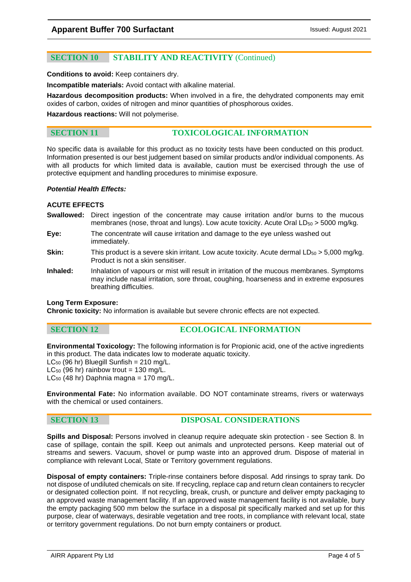# **SECTION 10 STABILITY AND REACTIVITY** (Continued)

**Conditions to avoid:** Keep containers dry.

**Incompatible materials:** Avoid contact with alkaline material.

**Hazardous decomposition products:** When involved in a fire, the dehydrated components may emit oxides of carbon, oxides of nitrogen and minor quantities of phosphorous oxides.

**Hazardous reactions:** Will not polymerise.

# **SECTION 11 TOXICOLOGICAL INFORMATION**

No specific data is available for this product as no toxicity tests have been conducted on this product. Information presented is our best judgement based on similar products and/or individual components. As with all products for which limited data is available, caution must be exercised through the use of protective equipment and handling procedures to minimise exposure.

#### *Potential Health Effects:*

### **ACUTE EFFECTS**

- **Swallowed:** Direct ingestion of the concentrate may cause irritation and/or burns to the mucous membranes (nose, throat and lungs). Low acute toxicity. Acute Oral  $LD_{50}$  > 5000 mg/kg.
- **Eye:** The concentrate will cause irritation and damage to the eye unless washed out immediately.
- **Skin:** This product is a severe skin irritant. Low acute toxicity. Acute dermal LD<sub>50</sub> > 5,000 mg/kg. Product is not a skin sensitiser.
- **Inhaled:** Inhalation of vapours or mist will result in irritation of the mucous membranes. Symptoms may include nasal irritation, sore throat, coughing, hoarseness and in extreme exposures breathing difficulties.

#### **Long Term Exposure:**

**Chronic toxicity:** No information is available but severe chronic effects are not expected.

# **SECTION 12 ECOLOGICAL INFORMATION**

**Environmental Toxicology:** The following information is for Propionic acid, one of the active ingredients in this product. The data indicates low to moderate aquatic toxicity.

 $LC_{50}$  (96 hr) Bluegill Sunfish = 210 mg/L.

 $LC_{50}$  (96 hr) rainbow trout = 130 mg/L.

 $LC_{50}$  (48 hr) Daphnia magna = 170 mg/L.

**Environmental Fate:** No information available. DO NOT contaminate streams, rivers or waterways with the chemical or used containers.

# **SECTION 13 DISPOSAL CONSIDERATIONS**

**Spills and Disposal:** Persons involved in cleanup require adequate skin protection - see Section 8. In case of spillage, contain the spill. Keep out animals and unprotected persons. Keep material out of streams and sewers. Vacuum, shovel or pump waste into an approved drum. Dispose of material in compliance with relevant Local, State or Territory government regulations.

**Disposal of empty containers:** Triple-rinse containers before disposal. Add rinsings to spray tank. Do not dispose of undiluted chemicals on site. If recycling, replace cap and return clean containers to recycler or designated collection point. If not recycling, break, crush, or puncture and deliver empty packaging to an approved waste management facility. If an approved waste management facility is not available, bury the empty packaging 500 mm below the surface in a disposal pit specifically marked and set up for this purpose, clear of waterways, desirable vegetation and tree roots, in compliance with relevant local, state or territory government regulations. Do not burn empty containers or product.